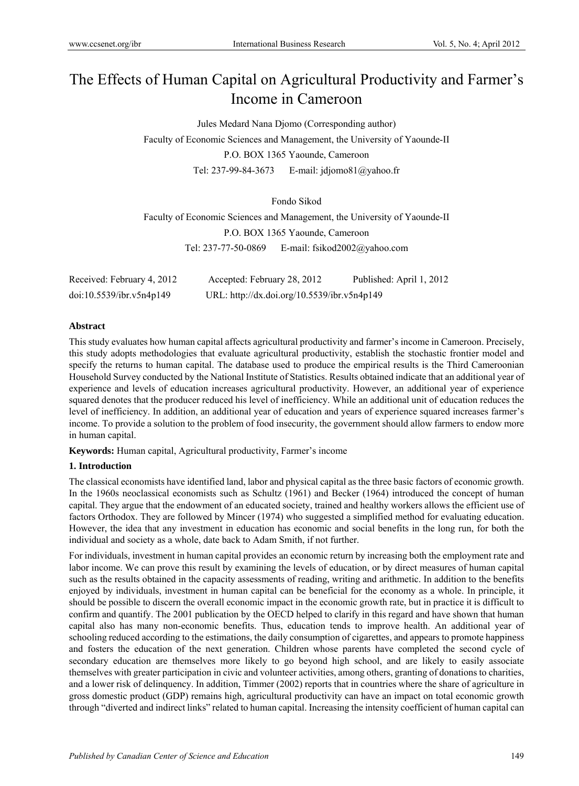# The Effects of Human Capital on Agricultural Productivity and Farmer's Income in Cameroon

Jules Medard Nana Djomo (Corresponding author) Faculty of Economic Sciences and Management, the University of Yaounde-II P.O. BOX 1365 Yaounde, Cameroon Tel: 237-99-84-3673 E-mail: jdjomo81@yahoo.fr

Fondo Sikod Faculty of Economic Sciences and Management, the University of Yaounde-II P.O. BOX 1365 Yaounde, Cameroon Tel: 237-77-50-0869 E-mail: fsikod2002@yahoo.com

Received: February 4, 2012 Accepted: February 28, 2012 Published: April 1, 2012 doi:10.5539/ibr.v5n4p149 URL: http://dx.doi.org/10.5539/ibr.v5n4p149

#### **Abstract**

This study evaluates how human capital affects agricultural productivity and farmer's income in Cameroon. Precisely, this study adopts methodologies that evaluate agricultural productivity, establish the stochastic frontier model and specify the returns to human capital. The database used to produce the empirical results is the Third Cameroonian Household Survey conducted by the National Institute of Statistics. Results obtained indicate that an additional year of experience and levels of education increases agricultural productivity. However, an additional year of experience squared denotes that the producer reduced his level of inefficiency. While an additional unit of education reduces the level of inefficiency. In addition, an additional year of education and years of experience squared increases farmer's income. To provide a solution to the problem of food insecurity, the government should allow farmers to endow more in human capital.

**Keywords:** Human capital, Agricultural productivity, Farmer's income

## **1. Introduction**

The classical economists have identified land, labor and physical capital as the three basic factors of economic growth. In the 1960s neoclassical economists such as Schultz (1961) and Becker (1964) introduced the concept of human capital. They argue that the endowment of an educated society, trained and healthy workers allows the efficient use of factors Orthodox. They are followed by Mincer (1974) who suggested a simplified method for evaluating education. However, the idea that any investment in education has economic and social benefits in the long run, for both the individual and society as a whole, date back to Adam Smith, if not further.

For individuals, investment in human capital provides an economic return by increasing both the employment rate and labor income. We can prove this result by examining the levels of education, or by direct measures of human capital such as the results obtained in the capacity assessments of reading, writing and arithmetic. In addition to the benefits enjoyed by individuals, investment in human capital can be beneficial for the economy as a whole. In principle, it should be possible to discern the overall economic impact in the economic growth rate, but in practice it is difficult to confirm and quantify. The 2001 publication by the OECD helped to clarify in this regard and have shown that human capital also has many non-economic benefits. Thus, education tends to improve health. An additional year of schooling reduced according to the estimations, the daily consumption of cigarettes, and appears to promote happiness and fosters the education of the next generation. Children whose parents have completed the second cycle of secondary education are themselves more likely to go beyond high school, and are likely to easily associate themselves with greater participation in civic and volunteer activities, among others, granting of donations to charities, and a lower risk of delinquency. In addition, Timmer (2002) reports that in countries where the share of agriculture in gross domestic product (GDP) remains high, agricultural productivity can have an impact on total economic growth through "diverted and indirect links" related to human capital. Increasing the intensity coefficient of human capital can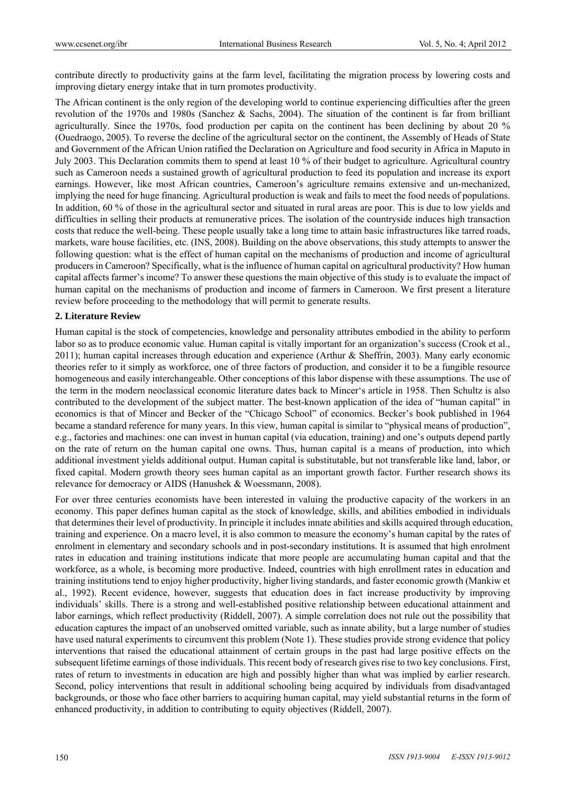contribute directly to productivity gains at the farm level, facilitating the migration process by lowering costs and improving dietary energy intake that in turn promotes productivity.

The African continent is the only region of the developing world to continue experiencing difficulties after the green revolution of the 1970s and 1980s (Sanchez & Sachs, 2004). The situation of the continent is far from brilliant agriculturally. Since the 1970s, food production per capita on the continent has been declining by about 20 % (Ouedraogo, 2005). To reverse the decline of the agricultural sector on the continent, the Assembly of Heads of State and Government of the African Union ratified the Declaration on Agriculture and food security in Africa in Maputo in July 2003. This Declaration commits them to spend at least 10 % of their budget to agriculture. Agricultural country such as Cameroon needs a sustained growth of agricultural production to feed its population and increase its export earnings. However, like most African countries, Cameroon's agriculture remains extensive and un-mechanized, implying the need for huge financing. Agricultural production is weak and fails to meet the food needs of populations. In addition, 60 % of those in the agricultural sector and situated in rural areas are poor. This is due to low yields and difficulties in selling their products at remunerative prices. The isolation of the countryside induces high transaction costs that reduce the well-being. These people usually take a long time to attain basic infrastructures like tarred roads, markets, ware house facilities, etc. (INS, 2008). Building on the above observations, this study attempts to answer the following question: what is the effect of human capital on the mechanisms of production and income of agricultural producers in Cameroon? Specifically, what is the influence of human capital on agricultural productivity? How human capital affects farmer's income? To answer these questions the main objective of this study is to evaluate the impact of human capital on the mechanisms of production and income of farmers in Cameroon. We first present a literature review before proceeding to the methodology that will permit to generate results.

#### **2. Literature Review**

Human capital is the stock of competencies, knowledge and personality attributes embodied in the ability to perform labor so as to produce economic value. Human capital is vitally important for an organization's success (Crook et al., 2011); human capital increases through education and experience (Arthur & Sheffrin, 2003). Many early economic theories refer to it simply as workforce, one of three factors of production, and consider it to be a fungible resource homogeneous and easily interchangeable. Other conceptions of this labor dispense with these assumptions. The use of the term in the modern neoclassical economic literature dates back to Mincer's article in 1958. Then Schultz is also contributed to the development of the subject matter. The best-known application of the idea of "human capital" in economics is that of Mincer and Becker of the "Chicago School" of economics. Becker's book published in 1964 became a standard reference for many years. In this view, human capital is similar to "physical means of production", e.g., factories and machines: one can invest in human capital (via education, training) and one's outputs depend partly on the rate of return on the human capital one owns. Thus, human capital is a means of production, into which additional investment yields additional output. Human capital is substitutable, but not transferable like land, labor, or fixed capital. Modern growth theory sees human capital as an important growth factor. Further research shows its relevance for democracy or AIDS (Hanushek & Woessmann, 2008).

For over three centuries economists have been interested in valuing the productive capacity of the workers in an economy. This paper defines human capital as the stock of knowledge, skills, and abilities embodied in individuals that determines their level of productivity. In principle it includes innate abilities and skills acquired through education, training and experience. On a macro level, it is also common to measure the economy's human capital by the rates of enrolment in elementary and secondary schools and in post-secondary institutions. It is assumed that high enrolment rates in education and training institutions indicate that more people are accumulating human capital and that the workforce, as a whole, is becoming more productive. Indeed, countries with high enrollment rates in education and training institutions tend to enjoy higher productivity, higher living standards, and faster economic growth (Mankiw et al., 1992). Recent evidence, however, suggests that education does in fact increase productivity by improving individuals' skills. There is a strong and well-established positive relationship between educational attainment and labor earnings, which reflect productivity (Riddell, 2007). A simple correlation does not rule out the possibility that education captures the impact of an unobserved omitted variable, such as innate ability, but a large number of studies have used natural experiments to circumvent this problem (Note 1). These studies provide strong evidence that policy interventions that raised the educational attainment of certain groups in the past had large positive effects on the subsequent lifetime earnings of those individuals. This recent body of research gives rise to two key conclusions. First, rates of return to investments in education are high and possibly higher than what was implied by earlier research. Second, policy interventions that result in additional schooling being acquired by individuals from disadvantaged backgrounds, or those who face other barriers to acquiring human capital, may yield substantial returns in the form of enhanced productivity, in addition to contributing to equity objectives (Riddell, 2007).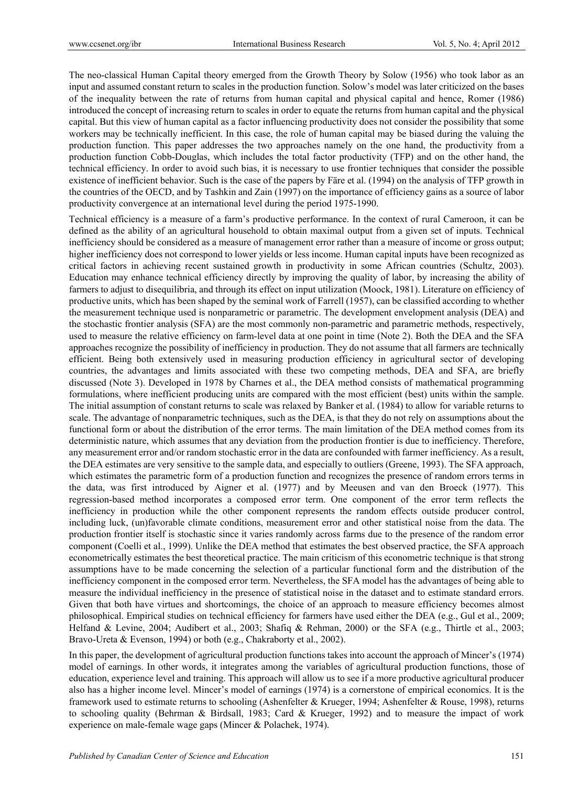The neo-classical Human Capital theory emerged from the Growth Theory by Solow (1956) who took labor as an input and assumed constant return to scales in the production function. Solow's model was later criticized on the bases of the inequality between the rate of returns from human capital and physical capital and hence, Romer (1986) introduced the concept of increasing return to scales in order to equate the returns from human capital and the physical capital. But this view of human capital as a factor influencing productivity does not consider the possibility that some workers may be technically inefficient. In this case, the role of human capital may be biased during the valuing the production function. This paper addresses the two approaches namely on the one hand, the productivity from a production function Cobb-Douglas, which includes the total factor productivity (TFP) and on the other hand, the technical efficiency. In order to avoid such bias, it is necessary to use frontier techniques that consider the possible existence of inefficient behavior. Such is the case of the papers by Färe et al. (1994) on the analysis of TFP growth in the countries of the OECD, and by Tashkin and Zain (1997) on the importance of efficiency gains as a source of labor productivity convergence at an international level during the period 1975-1990.

Technical efficiency is a measure of a farm's productive performance. In the context of rural Cameroon, it can be defined as the ability of an agricultural household to obtain maximal output from a given set of inputs. Technical inefficiency should be considered as a measure of management error rather than a measure of income or gross output; higher inefficiency does not correspond to lower yields or less income. Human capital inputs have been recognized as critical factors in achieving recent sustained growth in productivity in some African countries (Schultz, 2003). Education may enhance technical efficiency directly by improving the quality of labor, by increasing the ability of farmers to adjust to disequilibria, and through its effect on input utilization (Moock, 1981). Literature on efficiency of productive units, which has been shaped by the seminal work of Farrell (1957), can be classified according to whether the measurement technique used is nonparametric or parametric. The development envelopment analysis (DEA) and the stochastic frontier analysis (SFA) are the most commonly non-parametric and parametric methods, respectively, used to measure the relative efficiency on farm-level data at one point in time (Note 2). Both the DEA and the SFA approaches recognize the possibility of inefficiency in production. They do not assume that all farmers are technically efficient. Being both extensively used in measuring production efficiency in agricultural sector of developing countries, the advantages and limits associated with these two competing methods, DEA and SFA, are briefly discussed (Note 3). Developed in 1978 by Charnes et al., the DEA method consists of mathematical programming formulations, where inefficient producing units are compared with the most efficient (best) units within the sample. The initial assumption of constant returns to scale was relaxed by Banker et al. (1984) to allow for variable returns to scale. The advantage of nonparametric techniques, such as the DEA, is that they do not rely on assumptions about the functional form or about the distribution of the error terms. The main limitation of the DEA method comes from its deterministic nature, which assumes that any deviation from the production frontier is due to inefficiency. Therefore, any measurement error and/or random stochastic error in the data are confounded with farmer inefficiency. As a result, the DEA estimates are very sensitive to the sample data, and especially to outliers (Greene, 1993). The SFA approach, which estimates the parametric form of a production function and recognizes the presence of random errors terms in the data, was first introduced by Aigner et al. (1977) and by Meeusen and van den Broeck (1977). This regression-based method incorporates a composed error term. One component of the error term reflects the inefficiency in production while the other component represents the random effects outside producer control, including luck, (un)favorable climate conditions, measurement error and other statistical noise from the data. The production frontier itself is stochastic since it varies randomly across farms due to the presence of the random error component (Coelli et al., 1999). Unlike the DEA method that estimates the best observed practice, the SFA approach econometrically estimates the best theoretical practice. The main criticism of this econometric technique is that strong assumptions have to be made concerning the selection of a particular functional form and the distribution of the inefficiency component in the composed error term. Nevertheless, the SFA model has the advantages of being able to measure the individual inefficiency in the presence of statistical noise in the dataset and to estimate standard errors. Given that both have virtues and shortcomings, the choice of an approach to measure efficiency becomes almost philosophical. Empirical studies on technical efficiency for farmers have used either the DEA (e.g., Gul et al., 2009; Helfand & Levine, 2004; Audibert et al., 2003; Shafiq & Rehman, 2000) or the SFA (e.g., Thirtle et al., 2003; Bravo-Ureta & Evenson, 1994) or both (e.g., Chakraborty et al., 2002).

In this paper, the development of agricultural production functions takes into account the approach of Mincer's (1974) model of earnings. In other words, it integrates among the variables of agricultural production functions, those of education, experience level and training. This approach will allow us to see if a more productive agricultural producer also has a higher income level. Mincer's model of earnings (1974) is a cornerstone of empirical economics. It is the framework used to estimate returns to schooling (Ashenfelter & Krueger, 1994; Ashenfelter & Rouse, 1998), returns to schooling quality (Behrman & Birdsall, 1983; Card & Krueger, 1992) and to measure the impact of work experience on male-female wage gaps (Mincer & Polachek, 1974).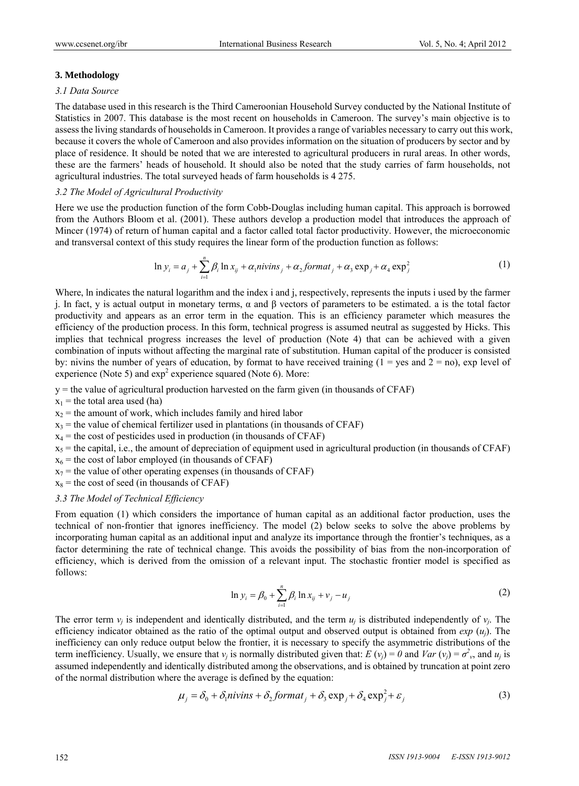#### **3. Methodology**

#### *3.1 Data Source*

The database used in this research is the Third Cameroonian Household Survey conducted by the National Institute of Statistics in 2007. This database is the most recent on households in Cameroon. The survey's main objective is to assess the living standards of households in Cameroon. It provides a range of variables necessary to carry out this work, because it covers the whole of Cameroon and also provides information on the situation of producers by sector and by place of residence. It should be noted that we are interested to agricultural producers in rural areas. In other words, these are the farmers' heads of household. It should also be noted that the study carries of farm households, not agricultural industries. The total surveyed heads of farm households is 4 275.

#### *3.2 The Model of Agricultural Productivity*

Here we use the production function of the form Cobb-Douglas including human capital. This approach is borrowed from the Authors Bloom et al. (2001). These authors develop a production model that introduces the approach of Mincer (1974) of return of human capital and a factor called total factor productivity. However, the microeconomic and transversal context of this study requires the linear form of the production function as follows:

$$
\ln y_i = a_j + \sum_{i=1}^n \beta_i \ln x_{ij} + \alpha_1 \text{nivins}_j + \alpha_2 \text{format}_j + \alpha_3 \exp_j + \alpha_4 \exp_j^2 \tag{1}
$$

Where, ln indicates the natural logarithm and the index i and j, respectively, represents the inputs i used by the farmer j. In fact, y is actual output in monetary terms, α and β vectors of parameters to be estimated. a is the total factor productivity and appears as an error term in the equation. This is an efficiency parameter which measures the efficiency of the production process. In this form, technical progress is assumed neutral as suggested by Hicks. This implies that technical progress increases the level of production (Note 4) that can be achieved with a given combination of inputs without affecting the marginal rate of substitution. Human capital of the producer is consisted by: nivins the number of years of education, by format to have received training  $(1 = yes \text{ and } 2 = no)$ , exp level of experience (Note 5) and  $exp<sup>2</sup>$  experience squared (Note 6). More:

 $y =$  the value of agricultural production harvested on the farm given (in thousands of CFAF)

 $x_1$  = the total area used (ha)

 $x_2$  = the amount of work, which includes family and hired labor

 $x_3$  = the value of chemical fertilizer used in plantations (in thousands of CFAF)

 $x_4$  = the cost of pesticides used in production (in thousands of CFAF)

 $x_5$  = the capital, i.e., the amount of depreciation of equipment used in agricultural production (in thousands of CFAF)

- $x_6$  = the cost of labor employed (in thousands of CFAF)
- $x_7$  = the value of other operating expenses (in thousands of CFAF)
- $x_8$  = the cost of seed (in thousands of CFAF)

#### *3.3 The Model of Technical Efficiency*

From equation (1) which considers the importance of human capital as an additional factor production, uses the technical of non-frontier that ignores inefficiency. The model (2) below seeks to solve the above problems by incorporating human capital as an additional input and analyze its importance through the frontier's techniques, as a factor determining the rate of technical change. This avoids the possibility of bias from the non-incorporation of efficiency, which is derived from the omission of a relevant input. The stochastic frontier model is specified as follows:

$$
\ln y_i = \beta_0 + \sum_{i=1}^n \beta_i \ln x_{ij} + v_j - u_j \tag{2}
$$

The error term  $v_i$  is independent and identically distributed, and the term  $u_i$  is distributed independently of  $v_i$ . The efficiency indicator obtained as the ratio of the optimal output and observed output is obtained from *exp* (*uj*). The inefficiency can only reduce output below the frontier, it is necessary to specify the asymmetric distributions of the term inefficiency. Usually, we ensure that  $v_j$  is normally distributed given that:  $E(v_j) = 0$  and  $Var(v_j) = \sigma_v^2$ , and  $u_j$  is assumed independently and identically distributed among the observations, and is obtained by truncation at point zero of the normal distribution where the average is defined by the equation:

$$
\mu_j = \delta_0 + \delta_1 \text{nivins} + \delta_2 \text{format}_j + \delta_3 \exp_j + \delta_4 \exp_j^2 + \varepsilon_j \tag{3}
$$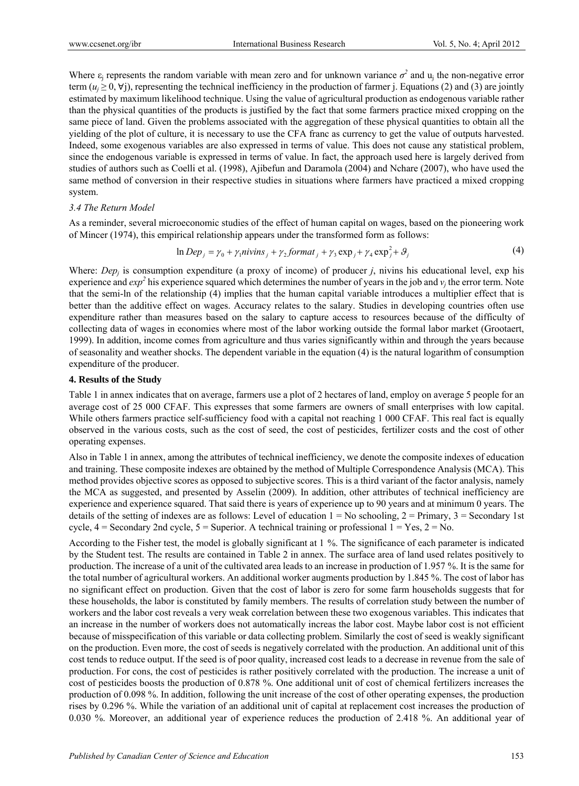Where  $\varepsilon_j$  represents the random variable with mean zero and for unknown variance  $\sigma^2$  and  $u_j$  the non-negative error term  $(u_i \ge 0, \forall j)$ , representing the technical inefficiency in the production of farmer j. Equations (2) and (3) are jointly estimated by maximum likelihood technique. Using the value of agricultural production as endogenous variable rather than the physical quantities of the products is justified by the fact that some farmers practice mixed cropping on the same piece of land. Given the problems associated with the aggregation of these physical quantities to obtain all the yielding of the plot of culture, it is necessary to use the CFA franc as currency to get the value of outputs harvested. Indeed, some exogenous variables are also expressed in terms of value. This does not cause any statistical problem, since the endogenous variable is expressed in terms of value. In fact, the approach used here is largely derived from studies of authors such as Coelli et al. (1998), Ajibefun and Daramola (2004) and Nchare (2007), who have used the same method of conversion in their respective studies in situations where farmers have practiced a mixed cropping system.

#### *3.4 The Return Model*

As a reminder, several microeconomic studies of the effect of human capital on wages, based on the pioneering work of Mincer (1974), this empirical relationship appears under the transformed form as follows:

$$
\ln Dep_j = \gamma_0 + \gamma_1 \text{nivins}_j + \gamma_2 \text{format}_j + \gamma_3 \exp_j + \gamma_4 \exp_j^2 + \vartheta_j \tag{4}
$$

Where: *Dep<sub>i</sub>* is consumption expenditure (a proxy of income) of producer *j*, nivins his educational level, exp his experience and  $exp<sup>2</sup>$  his experience squared which determines the number of years in the job and  $v_j$  the error term. Note that the semi-ln of the relationship (4) implies that the human capital variable introduces a multiplier effect that is better than the additive effect on wages. Accuracy relates to the salary. Studies in developing countries often use expenditure rather than measures based on the salary to capture access to resources because of the difficulty of collecting data of wages in economies where most of the labor working outside the formal labor market (Grootaert, 1999). In addition, income comes from agriculture and thus varies significantly within and through the years because of seasonality and weather shocks. The dependent variable in the equation (4) is the natural logarithm of consumption expenditure of the producer.

#### **4. Results of the Study**

Table 1 in annex indicates that on average, farmers use a plot of 2 hectares of land, employ on average 5 people for an average cost of 25 000 CFAF. This expresses that some farmers are owners of small enterprises with low capital. While others farmers practice self-sufficiency food with a capital not reaching 1 000 CFAF. This real fact is equally observed in the various costs, such as the cost of seed, the cost of pesticides, fertilizer costs and the cost of other operating expenses.

Also in Table 1 in annex, among the attributes of technical inefficiency, we denote the composite indexes of education and training. These composite indexes are obtained by the method of Multiple Correspondence Analysis (MCA). This method provides objective scores as opposed to subjective scores. This is a third variant of the factor analysis, namely the MCA as suggested, and presented by Asselin (2009). In addition, other attributes of technical inefficiency are experience and experience squared. That said there is years of experience up to 90 years and at minimum 0 years. The details of the setting of indexes are as follows: Level of education  $1 = No$  schooling,  $2 = Primary$ ,  $3 = Secondary 1st$ cycle,  $4$  = Secondary 2nd cycle,  $5$  = Superior. A technical training or professional  $1$  = Yes,  $2$  = No.

According to the Fisher test, the model is globally significant at 1 %. The significance of each parameter is indicated by the Student test. The results are contained in Table 2 in annex. The surface area of land used relates positively to production. The increase of a unit of the cultivated area leads to an increase in production of 1.957 %. It is the same for the total number of agricultural workers. An additional worker augments production by 1.845 %. The cost of labor has no significant effect on production. Given that the cost of labor is zero for some farm households suggests that for these households, the labor is constituted by family members. The results of correlation study between the number of workers and the labor cost reveals a very weak correlation between these two exogenous variables. This indicates that an increase in the number of workers does not automatically increas the labor cost. Maybe labor cost is not efficient because of misspecification of this variable or data collecting problem. Similarly the cost of seed is weakly significant on the production. Even more, the cost of seeds is negatively correlated with the production. An additional unit of this cost tends to reduce output. If the seed is of poor quality, increased cost leads to a decrease in revenue from the sale of production. For cons, the cost of pesticides is rather positively correlated with the production. The increase a unit of cost of pesticides boosts the production of 0.878 %. One additional unit of cost of chemical fertilizers increases the production of 0.098 %. In addition, following the unit increase of the cost of other operating expenses, the production rises by 0.296 %. While the variation of an additional unit of capital at replacement cost increases the production of 0.030 %. Moreover, an additional year of experience reduces the production of 2.418 %. An additional year of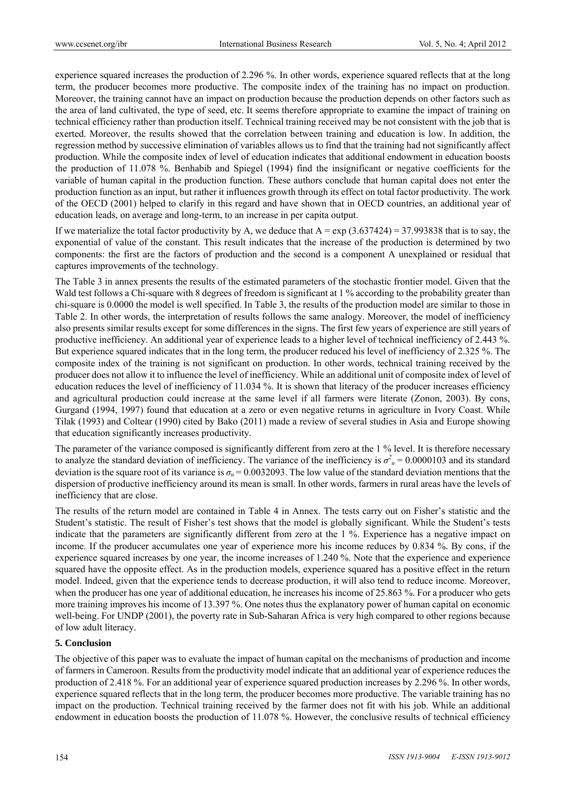experience squared increases the production of 2.296 %. In other words, experience squared reflects that at the long term, the producer becomes more productive. The composite index of the training has no impact on production. Moreover, the training cannot have an impact on production because the production depends on other factors such as the area of land cultivated, the type of seed, etc. It seems therefore appropriate to examine the impact of training on technical efficiency rather than production itself. Technical training received may be not consistent with the job that is exerted. Moreover, the results showed that the correlation between training and education is low. In addition, the regression method by successive elimination of variables allows us to find that the training had not significantly affect production. While the composite index of level of education indicates that additional endowment in education boosts the production of 11.078 %. Benhabib and Spiegel (1994) find the insignificant or negative coefficients for the variable of human capital in the production function. These authors conclude that human capital does not enter the production function as an input, but rather it influences growth through its effect on total factor productivity. The work of the OECD (2001) helped to clarify in this regard and have shown that in OECD countries, an additional year of education leads, on average and long-term, to an increase in per capita output.

If we materialize the total factor productivity by A, we deduce that  $A = \exp(3.637424) = 37.993838$  that is to say, the exponential of value of the constant. This result indicates that the increase of the production is determined by two components: the first are the factors of production and the second is a component A unexplained or residual that captures improvements of the technology.

The Table 3 in annex presents the results of the estimated parameters of the stochastic frontier model. Given that the Wald test follows a Chi-square with 8 degrees of freedom is significant at 1 % according to the probability greater than chi-square is 0.0000 the model is well specified. In Table 3, the results of the production model are similar to those in Table 2. In other words, the interpretation of results follows the same analogy. Moreover, the model of inefficiency also presents similar results except for some differences in the signs. The first few years of experience are still years of productive inefficiency. An additional year of experience leads to a higher level of technical inefficiency of 2.443 %. But experience squared indicates that in the long term, the producer reduced his level of inefficiency of 2.325 %. The composite index of the training is not significant on production. In other words, technical training received by the producer does not allow it to influence the level of inefficiency. While an additional unit of composite index of level of education reduces the level of inefficiency of 11.034 %. It is shown that literacy of the producer increases efficiency and agricultural production could increase at the same level if all farmers were literate (Zonon, 2003). By cons, Gurgand (1994, 1997) found that education at a zero or even negative returns in agriculture in Ivory Coast. While Tilak (1993) and Coltear (1990) cited by Bako (2011) made a review of several studies in Asia and Europe showing that education significantly increases productivity.

The parameter of the variance composed is significantly different from zero at the 1 % level. It is therefore necessary to analyze the standard deviation of inefficiency. The variance of the inefficiency is  $\sigma^2 u = 0.0000103$  and its standard deviation is the square root of its variance is  $\sigma_u = 0.0032093$ . The low value of the standard deviation mentions that the dispersion of productive inefficiency around its mean is small. In other words, farmers in rural areas have the levels of inefficiency that are close.

The results of the return model are contained in Table 4 in Annex. The tests carry out on Fisher's statistic and the Student's statistic. The result of Fisher's test shows that the model is globally significant. While the Student's tests indicate that the parameters are significantly different from zero at the 1 %. Experience has a negative impact on income. If the producer accumulates one year of experience more his income reduces by 0.834 %. By cons, if the experience squared increases by one year, the income increases of 1.240 %. Note that the experience and experience squared have the opposite effect. As in the production models, experience squared has a positive effect in the return model. Indeed, given that the experience tends to decrease production, it will also tend to reduce income. Moreover, when the producer has one year of additional education, he increases his income of 25.863 %. For a producer who gets more training improves his income of 13.397 %. One notes thus the explanatory power of human capital on economic well-being. For UNDP (2001), the poverty rate in Sub-Saharan Africa is very high compared to other regions because of low adult literacy.

#### **5. Conclusion**

The objective of this paper was to evaluate the impact of human capital on the mechanisms of production and income of farmers in Cameroon. Results from the productivity model indicate that an additional year of experience reduces the production of 2.418 %. For an additional year of experience squared production increases by 2.296 %. In other words, experience squared reflects that in the long term, the producer becomes more productive. The variable training has no impact on the production. Technical training received by the farmer does not fit with his job. While an additional endowment in education boosts the production of 11.078 %. However, the conclusive results of technical efficiency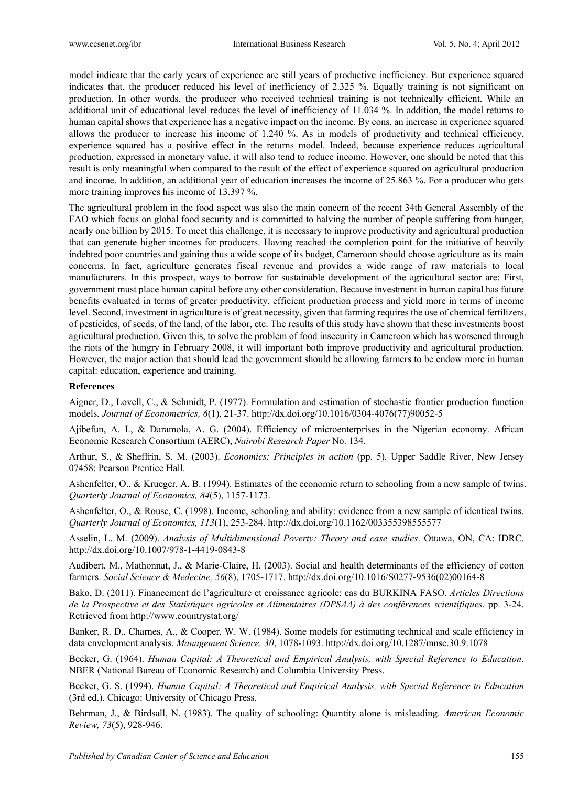model indicate that the early years of experience are still years of productive inefficiency. But experience squared indicates that, the producer reduced his level of inefficiency of 2.325 %. Equally training is not significant on production. In other words, the producer who received technical training is not technically efficient. While an additional unit of educational level reduces the level of inefficiency of 11.034 %. In addition, the model returns to human capital shows that experience has a negative impact on the income. By cons, an increase in experience squared allows the producer to increase his income of 1.240 %. As in models of productivity and technical efficiency, experience squared has a positive effect in the returns model. Indeed, because experience reduces agricultural production, expressed in monetary value, it will also tend to reduce income. However, one should be noted that this result is only meaningful when compared to the result of the effect of experience squared on agricultural production and income. In addition, an additional year of education increases the income of 25.863 %. For a producer who gets more training improves his income of 13.397 %.

The agricultural problem in the food aspect was also the main concern of the recent 34th General Assembly of the FAO which focus on global food security and is committed to halving the number of people suffering from hunger, nearly one billion by 2015. To meet this challenge, it is necessary to improve productivity and agricultural production that can generate higher incomes for producers. Having reached the completion point for the initiative of heavily indebted poor countries and gaining thus a wide scope of its budget, Cameroon should choose agriculture as its main concerns. In fact, agriculture generates fiscal revenue and provides a wide range of raw materials to local manufacturers. In this prospect, ways to borrow for sustainable development of the agricultural sector are: First, government must place human capital before any other consideration. Because investment in human capital has future benefits evaluated in terms of greater productivity, efficient production process and yield more in terms of income level. Second, investment in agriculture is of great necessity, given that farming requires the use of chemical fertilizers, of pesticides, of seeds, of the land, of the labor, etc. The results of this study have shown that these investments boost agricultural production. Given this, to solve the problem of food insecurity in Cameroon which has worsened through the riots of the hungry in February 2008, it will important both improve productivity and agricultural production. However, the major action that should lead the government should be allowing farmers to be endow more in human capital: education, experience and training.

#### **References**

Aigner, D., Lovell, C., & Schmidt, P. (1977). Formulation and estimation of stochastic frontier production function models. *Journal of Econometrics, 6*(1), 21-37. http://dx.doi.org/10.1016/0304-4076(77)90052-5

Ajibefun, A. I., & Daramola, A. G. (2004). Efficiency of microenterprises in the Nigerian economy. African Economic Research Consortium (AERC), *Nairobi Research Paper* No. 134.

Arthur, S., & Sheffrin, S. M. (2003). *Economics: Principles in action* (pp. 5)*.* Upper Saddle River, New Jersey 07458: Pearson Prentice Hall.

Ashenfelter, O., & Krueger, A. B. (1994). Estimates of the economic return to schooling from a new sample of twins. *Quarterly Journal of Economics, 84*(5), 1157-1173.

Ashenfelter, O., & Rouse, C. (1998). Income, schooling and ability: evidence from a new sample of identical twins. *Quarterly Journal of Economics, 113*(1), 253-284. http://dx.doi.org/10.1162/003355398555577

Asselin, L. M. (2009). *Analysis of Multidimensional Poverty: Theory and case studies*. Ottawa, ON, CA: IDRC. http://dx.doi.org/10.1007/978-1-4419-0843-8

Audibert, M., Mathonnat, J., & Marie-Claire, H. (2003). Social and health determinants of the efficiency of cotton farmers. *Social Science & Medecine, 56*(8), 1705-1717. http://dx.doi.org/10.1016/S0277-9536(02)00164-8

Bako, D. (2011). Financement de l'agriculture et croissance agricole: cas du BURKINA FASO. *Articles Directions de la Prospective et des Statistiques agricoles et Alimentaires (DPSAA) à des conférences scientifiques*. pp. 3-24. Retrieved from http://www.countrystat.org/

Banker, R. D., Charnes, A., & Cooper, W. W. (1984). Some models for estimating technical and scale efficiency in data envelopment analysis. *Management Science, 30*, 1078-1093. http://dx.doi.org/10.1287/mnsc.30.9.1078

Becker, G. (1964). *Human Capital: A Theoretical and Empirical Analysis, with Special Reference to Education*. NBER (National Bureau of Economic Research) and Columbia University Press.

Becker, G. S. (1994). *Human Capital: A Theoretical and Empirical Analysis, with Special Reference to Education*  (3rd ed.). Chicago: University of Chicago Press.

Behrman, J., & Birdsall, N. (1983). The quality of schooling: Quantity alone is misleading. *American Economic Review, 73*(5), 928-946.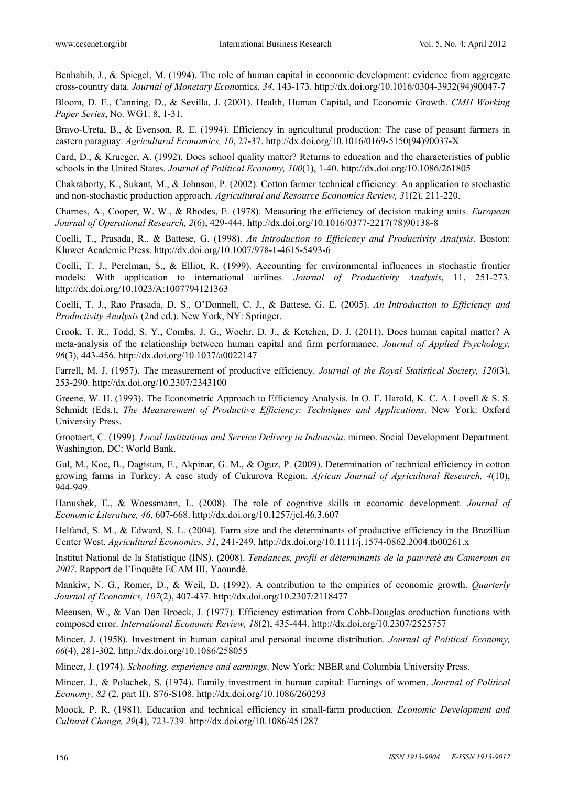Benhabib, J., & Spiegel, M. (1994). The role of human capital in economic development: evidence from aggregate cross-country data. *Journal of Monetary Econ*omics*, 34*, 143-173. http://dx.doi.org/10.1016/0304-3932(94)90047-7

Bloom, D. E., Canning, D., & Sevilla, J. (2001). Health, Human Capital, and Economic Growth. *CMH Working Paper Series*, No. WG1: 8, 1-31.

Bravo-Ureta, B., & Evenson, R. E. (1994). Efficiency in agricultural production: The case of peasant farmers in eastern paraguay. *Agricultural Economics, 10*, 27-37. http://dx.doi.org/10.1016/0169-5150(94)90037-X

Card, D., & Krueger, A. (1992). Does school quality matter? Returns to education and the characteristics of public schools in the United States. *Journal of Political Economy, 100*(1), 1-40. http://dx.doi.org/10.1086/261805

Chakraborty, K., Sukant, M., & Johnson, P. (2002). Cotton farmer technical efficiency: An application to stochastic and non-stochastic production approach. *Agricultural and Resource Economics Review, 3*1(2), 211-220.

Charnes, A., Cooper, W. W., & Rhodes, E. (1978). Measuring the efficiency of decision making units. *European Journal of Operational Research, 2*(6), 429-444. http://dx.doi.org/10.1016/0377-2217(78)90138-8

Coelli, T., Prasada, R., & Battese, G. (1998). *An Introduction to Efficiency and Productivity Analysis*. Boston: Kluwer Academic Press. http://dx.doi.org/10.1007/978-1-4615-5493-6

Coelli, T. J., Perelman, S., & Elliot, R. (1999). Accounting for environmental influences in stochastic frontier models: With application to international airlines. *Journal of Productivity Analysis*, 11, 251-273. http://dx.doi.org/10.1023/A:1007794121363

Coelli, T. J., Rao Prasada, D. S., O'Donnell, C. J., & Battese, G. E. (2005). *An Introduction to Efficiency and Productivity Analysis* (2nd ed.). New York, NY: Springer.

Crook, T. R., Todd, S. Y., Combs, J. G., Woehr, D. J., & Ketchen, D. J. (2011). Does human capital matter? A meta-analysis of the relationship between human capital and firm performance. *Journal of Applied Psychology, 96*(3), 443-456. http://dx.doi.org/10.1037/a0022147

Farrell, M. J. (1957). The measurement of productive efficiency. *Journal of the Royal Statistical Society, 120*(3), 253-290. http://dx.doi.org/10.2307/2343100

Greene, W. H. (1993). The Econometric Approach to Efficiency Analysis. In O. F. Harold, K. C. A. Lovell & S. S. Schmidt (Eds.), *The Measurement of Productive Efficiency: Techniques and Applications*. New York: Oxford University Press.

Grootaert, C. (1999). *Local Institutions and Service Delivery in Indonesia*. mimeo. Social Development Department. Washington, DC: World Bank.

Gul, M., Koc, B., Dagistan, E., Akpinar, G. M., & Oguz, P. (2009). Determination of technical efficiency in cotton growing farms in Turkey: A case study of Cukurova Region. *African Journal of Agricultural Research, 4*(10), 944-949.

Hanushek, E., & Woessmann, L. (2008). The role of cognitive skills in economic development. *Journal of Economic Literature, 46*, 607-668. http://dx.doi.org/10.1257/jel.46.3.607

Helfand, S. M., & Edward, S. L. (2004). Farm size and the determinants of productive efficiency in the Brazillian Center West. *Agricultural Economics, 31*, 241-249. http://dx.doi.org/10.1111/j.1574-0862.2004.tb00261.x

Institut National de la Statistique (INS). (2008). *Tendances, profil et déterminants de la pauvreté au Cameroun en 2007*. Rapport de l'Enquête ECAM III, Yaoundé.

Mankiw, N. G., Romer, D., & Weil, D. (1992). A contribution to the empirics of economic growth. *Quarterly Journal of Economics, 107*(2), 407-437. http://dx.doi.org/10.2307/2118477

Meeusen, W., & Van Den Broeck, J. (1977). Efficiency estimation from Cobb-Douglas oroduction functions with composed error. *International Economic Review, 18*(2), 435-444. http://dx.doi.org/10.2307/2525757

Mincer, J. (1958). Investment in human capital and personal income distribution. *Journal of Political Economy, 66*(4), 281-302. http://dx.doi.org/10.1086/258055

Mincer, J. (1974). *Schooling, experience and earnings*. New York: NBER and Columbia University Press.

Mincer, J., & Polachek, S. (1974). Family investment in human capital: Earnings of women. *Journal of Political Economy, 82* (2, part II), S76-S108. http://dx.doi.org/10.1086/260293

Moock, P. R. (1981). Education and technical efficiency in small-farm production. *Economic Development and Cultural Change, 29*(4), 723-739. http://dx.doi.org/10.1086/451287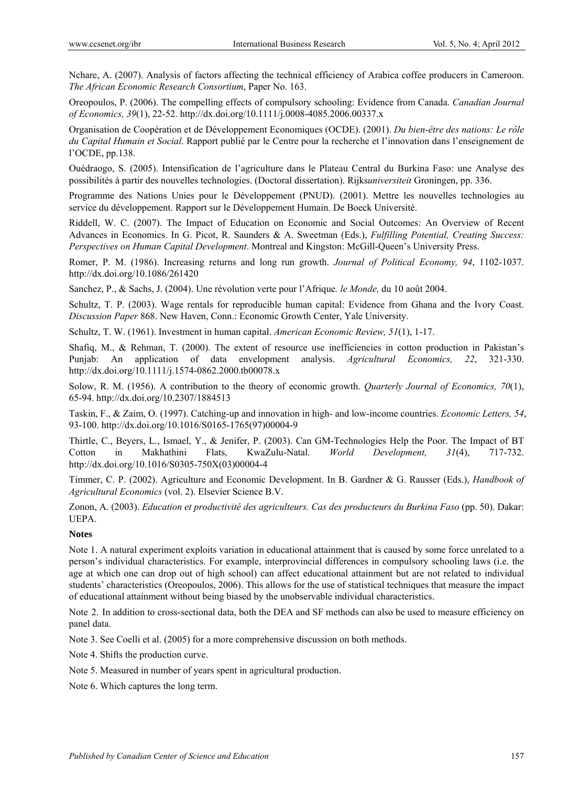Nchare, A. (2007). Analysis of factors affecting the technical efficiency of Arabica coffee producers in Cameroon. *The African Economic Research Consortium*, Paper No. 163.

Oreopoulos, P. (2006). The compelling effects of compulsory schooling: Evidence from Canada. *Canadian Journal of Economics, 39*(1), 22-52. http://dx.doi.org/10.1111/j.0008-4085.2006.00337.x

Organisation de Coopération et de Développement Economiques (OCDE). (2001). *Du bien-être des nations: Le rôle du Capital Humain et Social*. Rapport publié par le Centre pour la recherche et l'innovation dans l'enseignement de l'OCDE, pp.138.

Ouédraogo, S. (2005). Intensification de l'agriculture dans le Plateau Central du Burkina Faso: une Analyse des possibilités à partir des nouvelles technologies. (Doctoral dissertation). Rijks*universiteit* Groningen, pp. 336.

Programme des Nations Unies pour le Développement (PNUD). (2001). Mettre les nouvelles technologies au service du développement. Rapport sur le Développement Humain. De Boeck Université.

Riddell, W. C. (2007). The Impact of Education on Economic and Social Outcomes: An Overview of Recent Advances in Economics. In G. Picot, R. Saunders & A. Sweetman (Eds.), *Fulfilling Potential, Creating Success: Perspectives on Human Capital Development*. Montreal and Kingston: McGill-Queen's University Press.

Romer, P. M. (1986). Increasing returns and long run growth. *Journal of Political Economy, 94*, 1102-1037. http://dx.doi.org/10.1086/261420

Sanchez, P., & Sachs, J. (2004). Une révolution verte pour l'Afrique*. le Monde,* du 10 août 2004.

Schultz, T. P. (2003). Wage rentals for reproducible human capital: Evidence from Ghana and the Ivory Coast. *Discussion Paper* 868. New Haven, Conn.: Economic Growth Center, Yale University.

Schultz, T. W. (1961). Investment in human capital. *American Economic Review, 51*(1), 1-17.

Shafiq, M., & Rehman, T. (2000). The extent of resource use inefficiencies in cotton production in Pakistan's Punjab: An application of data envelopment analysis. *Agricultural Economics, 22*, 321-330. http://dx.doi.org/10.1111/j.1574-0862.2000.tb00078.x

Solow, R. M. (1956). A contribution to the theory of economic growth. *Quarterly Journal of Economics, 70*(1), 65-94. http://dx.doi.org/10.2307/1884513

Taskin, F., & Zaim, O. (1997). Catching-up and innovation in high- and low-income countries. *Economic Letters, 54*, 93-100. http://dx.doi.org/10.1016/S0165-1765(97)00004-9

Thirtle, C., Beyers, L., Ismael, Y., & Jenifer, P. (2003). Can GM-Technologies Help the Poor. The Impact of BT Cotton in Makhathini Flats, KwaZulu-Natal. *World Development, 31*(4), 717-732. http://dx.doi.org/10.1016/S0305-750X(03)00004-4

Timmer, C. P. (2002). Agriculture and Economic Development. In B. Gardner & G. Rausser (Eds.), *Handbook of Agricultural Economics* (vol. 2). Elsevier Science B.V.

Zonon, A. (2003). *Education et productivité des agriculteurs. Cas des producteurs du Burkina Faso* (pp. 50). Dakar: UEPA.

## **Notes**

Note 1. A natural experiment exploits variation in educational attainment that is caused by some force unrelated to a person's individual characteristics. For example, interprovincial differences in compulsory schooling laws (i.e. the age at which one can drop out of high school) can affect educational attainment but are not related to individual students' characteristics (Oreopoulos, 2006). This allows for the use of statistical techniques that measure the impact of educational attainment without being biased by the unobservable individual characteristics.

Note 2. In addition to cross-sectional data, both the DEA and SF methods can also be used to measure efficiency on panel data.

Note 3. See Coelli et al. (2005) for a more comprehensive discussion on both methods.

Note 4. Shifts the production curve.

Note 5. Measured in number of years spent in agricultural production.

Note 6. Which captures the long term.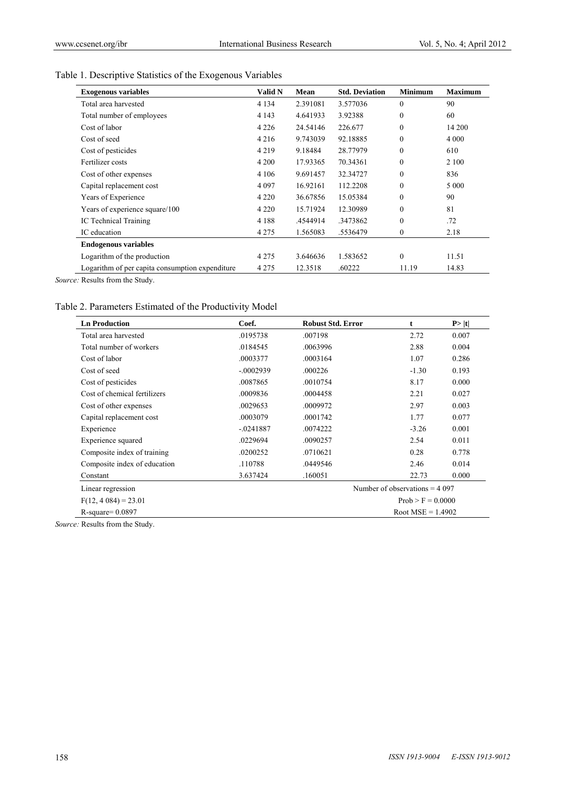| Table 1. Descriptive Statistics of the Exogenous Variables |  |  |
|------------------------------------------------------------|--|--|
|------------------------------------------------------------|--|--|

| <b>Exogenous variables</b>                      | Valid N | <b>Mean</b> | <b>Std. Deviation</b> | <b>Minimum</b> | <b>Maximum</b> |
|-------------------------------------------------|---------|-------------|-----------------------|----------------|----------------|
| Total area harvested                            | 4 1 3 4 | 2.391081    | 3.577036              | $\Omega$       | 90             |
| Total number of employees                       | 4 1 4 3 | 4.641933    | 3.92388               | $\theta$       | 60             |
| Cost of labor                                   | 4 2 2 6 | 24.54146    | 226.677               | $\theta$       | 14 200         |
| Cost of seed                                    | 4 2 1 6 | 9.743039    | 92.18885              | $\theta$       | 4 0 0 0        |
| Cost of pesticides                              | 4 2 1 9 | 9.18484     | 28.77979              | $\theta$       | 610            |
| Fertilizer costs                                | 4 2 0 0 | 17.93365    | 70.34361              | $\theta$       | 2 100          |
| Cost of other expenses                          | 4 1 0 6 | 9.691457    | 32.34727              | $\Omega$       | 836            |
| Capital replacement cost                        | 4 0 9 7 | 16.92161    | 112.2208              | $\Omega$       | 5 0 0 0        |
| Years of Experience                             | 4 2 2 0 | 36.67856    | 15.05384              | $\theta$       | 90             |
| Years of experience square/100                  | 4 2 2 0 | 15.71924    | 12.30989              | $\theta$       | 81             |
| IC Technical Training                           | 4 1 8 8 | .4544914    | .3473862              | $\Omega$       | .72            |
| IC education                                    | 4 2 7 5 | 1.565083    | .5536479              | 0              | 2.18           |
| <b>Endogenous variables</b>                     |         |             |                       |                |                |
| Logarithm of the production                     | 4 2 7 5 | 3.646636    | 1.583652              | $\theta$       | 11.51          |
| Logarithm of per capita consumption expenditure | 4 2 7 5 | 12.3518     | .60222                | 11.19          | 14.83          |

*Source:* Results from the Study.

# Table 2. Parameters Estimated of the Productivity Model

| <b>Ln Production</b>         | Coef.       | <b>Robust Std. Error</b>         | t       | P> t  |  |
|------------------------------|-------------|----------------------------------|---------|-------|--|
| Total area harvested         | .0195738    | .007198                          | 2.72    | 0.007 |  |
| Total number of workers      | .0184545    | .0063996                         | 2.88    | 0.004 |  |
| Cost of labor                | .0003377    | .0003164                         | 1.07    | 0.286 |  |
| Cost of seed                 | $-.0002939$ | .000226                          | $-1.30$ | 0.193 |  |
| Cost of pesticides           | .0087865    | .0010754                         | 8.17    | 0.000 |  |
| Cost of chemical fertilizers | .0009836    | .0004458                         | 2.21    | 0.027 |  |
| Cost of other expenses       | .0029653    | .0009972                         | 2.97    | 0.003 |  |
| Capital replacement cost     | .0003079    | .0001742                         | 1.77    | 0.077 |  |
| Experience                   | $-.0241887$ | .0074222                         | $-3.26$ | 0.001 |  |
| Experience squared           | .0229694    | .0090257                         | 2.54    | 0.011 |  |
| Composite index of training  | .0200252    | .0710621                         | 0.28    | 0.778 |  |
| Composite index of education | .110788     | .0449546                         | 2.46    | 0.014 |  |
| Constant                     | 3.637424    | .160051                          | 22.73   | 0.000 |  |
| Linear regression            |             | Number of observations $=$ 4 097 |         |       |  |
| $F(12, 4084) = 23.01$        |             | $Prob > F = 0.0000$              |         |       |  |
| $R$ -square= $0.0897$        |             | Root MSE = $1.4902$              |         |       |  |

*Source:* Results from the Study.